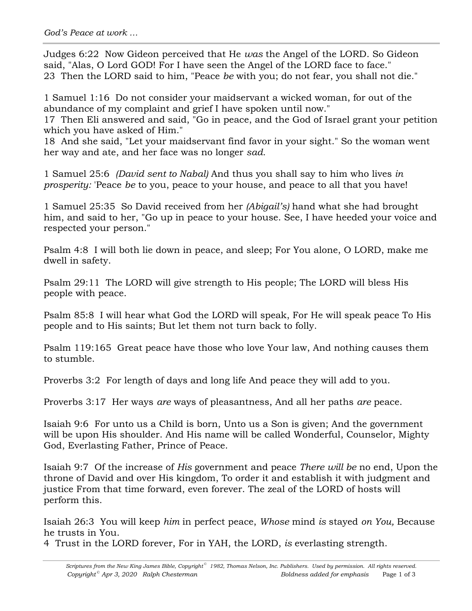Judges 6:22 Now Gideon perceived that He *was* the Angel of the LORD. So Gideon said, "Alas, O Lord GOD! For I have seen the Angel of the LORD face to face." 23 Then the LORD said to him, "Peace *be* with you; do not fear, you shall not die."

1 Samuel 1:16 Do not consider your maidservant a wicked woman, for out of the abundance of my complaint and grief I have spoken until now."

17 Then Eli answered and said, "Go in peace, and the God of Israel grant your petition which you have asked of Him."

18 And she said, "Let your maidservant find favor in your sight." So the woman went her way and ate, and her face was no longer *sad.*

1 Samuel 25:6 *(David sent to Nabal)* And thus you shall say to him who lives *in prosperity:* 'Peace *be* to you, peace to your house, and peace to all that you have!

1 Samuel 25:35 So David received from her *(Abigail's)* hand what she had brought him, and said to her, "Go up in peace to your house. See, I have heeded your voice and respected your person."

Psalm 4:8 I will both lie down in peace, and sleep; For You alone, O LORD, make me dwell in safety.

Psalm 29:11 The LORD will give strength to His people; The LORD will bless His people with peace.

Psalm 85:8 I will hear what God the LORD will speak, For He will speak peace To His people and to His saints; But let them not turn back to folly.

Psalm 119:165 Great peace have those who love Your law, And nothing causes them to stumble.

Proverbs 3:2 For length of days and long life And peace they will add to you.

Proverbs 3:17 Her ways *are* ways of pleasantness, And all her paths *are* peace.

Isaiah 9:6 For unto us a Child is born, Unto us a Son is given; And the government will be upon His shoulder. And His name will be called Wonderful, Counselor, Mighty God, Everlasting Father, Prince of Peace.

Isaiah 9:7 Of the increase of *His* government and peace *There will be* no end, Upon the throne of David and over His kingdom, To order it and establish it with judgment and justice From that time forward, even forever. The zeal of the LORD of hosts will perform this.

Isaiah 26:3 You will keep *him* in perfect peace, *Whose* mind *is* stayed *on You,* Because he trusts in You.

4 Trust in the LORD forever, For in YAH, the LORD, *is* everlasting strength.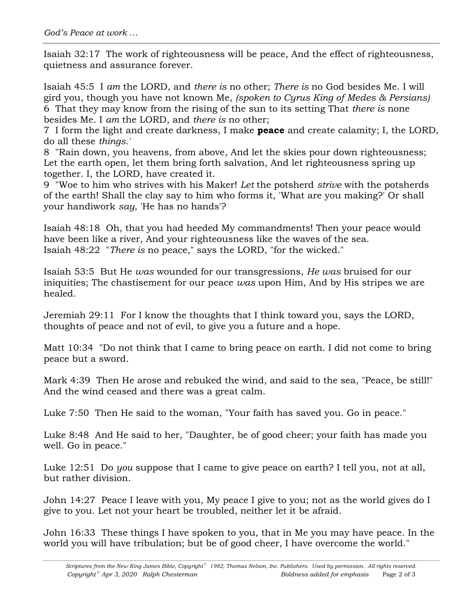Isaiah 32:17 The work of righteousness will be peace, And the effect of righteousness, quietness and assurance forever.

Isaiah 45:5 I *am* the LORD, and *there is* no other; *There is* no God besides Me. I will gird you, though you have not known Me, *(spoken to Cyrus King of Medes & Persians)* 6 That they may know from the rising of the sun to its setting That *there is* none besides Me. I *am* the LORD, and *there is* no other;

7 I form the light and create darkness, I make **peace** and create calamity; I, the LORD, do all these *things.'*

8 "Rain down, you heavens, from above, And let the skies pour down righteousness; Let the earth open, let them bring forth salvation, And let righteousness spring up together. I, the LORD, have created it.

9 "Woe to him who strives with his Maker! *Let* the potsherd *strive* with the potsherds of the earth! Shall the clay say to him who forms it, 'What are you making?' Or shall your handiwork *say,* 'He has no hands'?

Isaiah 48:18 Oh, that you had heeded My commandments! Then your peace would have been like a river, And your righteousness like the waves of the sea. Isaiah 48:22 "*There is* no peace," says the LORD, "for the wicked."

Isaiah 53:5 But He *was* wounded for our transgressions, *He was* bruised for our iniquities; The chastisement for our peace *was* upon Him, And by His stripes we are healed.

Jeremiah 29:11 For I know the thoughts that I think toward you, says the LORD, thoughts of peace and not of evil, to give you a future and a hope.

Matt 10:34 "Do not think that I came to bring peace on earth. I did not come to bring peace but a sword.

Mark 4:39 Then He arose and rebuked the wind, and said to the sea, "Peace, be still!" And the wind ceased and there was a great calm.

Luke 7:50 Then He said to the woman, "Your faith has saved you. Go in peace."

Luke 8:48 And He said to her, "Daughter, be of good cheer; your faith has made you well. Go in peace."

Luke 12:51 Do *you* suppose that I came to give peace on earth? I tell you, not at all, but rather division.

John 14:27 Peace I leave with you, My peace I give to you; not as the world gives do I give to you. Let not your heart be troubled, neither let it be afraid.

John 16:33 These things I have spoken to you, that in Me you may have peace. In the world you will have tribulation; but be of good cheer, I have overcome the world."